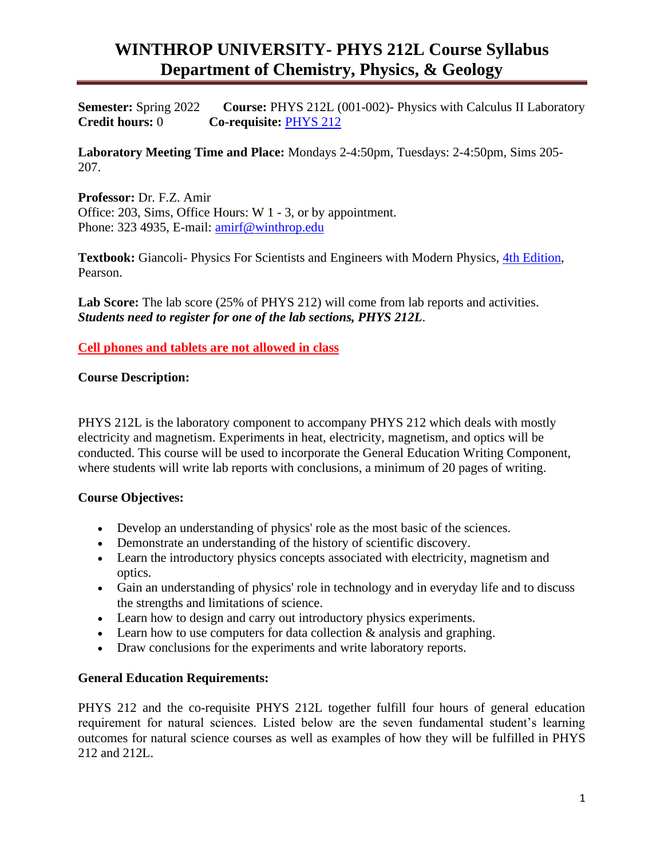**Semester:** Spring 2022 **Course:** PHYS 212L (001-002)- Physics with Calculus II Laboratory **Credit hours:** 0 **Co-requisite:** [PHYS 212](http://bohr.winthrop.edu/faculty/mahes/link_to_webpages/courses/phys211/phys211home.html)

**Laboratory Meeting Time and Place:** Mondays 2-4:50pm, Tuesdays: 2-4:50pm, Sims 205- 207.

**Professor:** Dr. F.Z. Amir Office: 203, Sims, Office Hours: W 1 - 3, or by appointment. Phone: 323 4935, E-mail: [amirf@winthrop.edu](mailto:amirf@winthrop.edu)

**Textbook:** Giancoli- Physics For Scientists and Engineers with Modern Physics, [4th Edition,](http://bcs.wiley.com/he-bcs/Books?action=index&itemId=0470469080&bcsId=5586) Pearson.

Lab Score: The lab score (25% of PHYS 212) will come from lab reports and activities. *Students need to register for one of the lab sections, PHYS 212L*.

**Cell phones and tablets are not allowed in class**

#### **Course Description:**

PHYS 212L is the laboratory component to accompany PHYS 212 which deals with mostly electricity and magnetism. Experiments in heat, electricity, magnetism, and optics will be conducted. This course will be used to incorporate the General Education Writing Component, where students will write lab reports with conclusions, a minimum of 20 pages of writing.

#### **Course Objectives:**

- Develop an understanding of physics' role as the most basic of the sciences.
- Demonstrate an understanding of the history of scientific discovery.
- Learn the introductory physics concepts associated with electricity, magnetism and optics.
- Gain an understanding of physics' role in technology and in everyday life and to discuss the strengths and limitations of science.
- Learn how to design and carry out introductory physics experiments.
- Learn how to use computers for data collection & analysis and graphing.
- Draw conclusions for the experiments and write laboratory reports.

#### **General Education Requirements:**

PHYS 212 and the co-requisite PHYS 212L together fulfill four hours of general education requirement for natural sciences. Listed below are the seven fundamental student's learning outcomes for natural science courses as well as examples of how they will be fulfilled in PHYS 212 and 212L.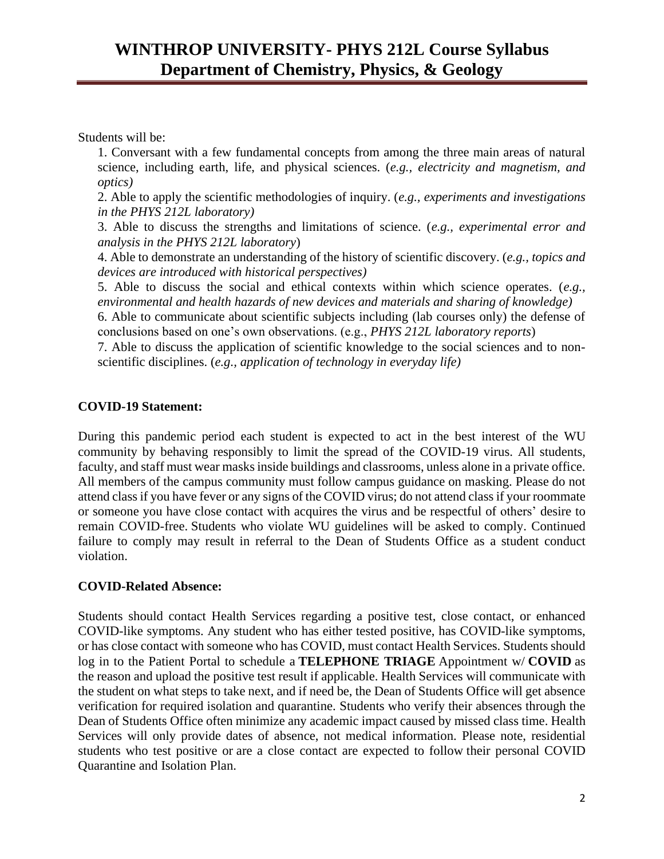Students will be:

1. Conversant with a few fundamental concepts from among the three main areas of natural science, including earth, life, and physical sciences. (*e.g., electricity and magnetism, and optics)*

2. Able to apply the scientific methodologies of inquiry. (*e.g., experiments and investigations in the PHYS 212L laboratory)* 

3. Able to discuss the strengths and limitations of science. (*e.g., experimental error and analysis in the PHYS 212L laboratory*)

4. Able to demonstrate an understanding of the history of scientific discovery. (*e.g., topics and devices are introduced with historical perspectives)*

5. Able to discuss the social and ethical contexts within which science operates. (*e.g., environmental and health hazards of new devices and materials and sharing of knowledge)*

6. Able to communicate about scientific subjects including (lab courses only) the defense of conclusions based on one's own observations. (e.g., *PHYS 212L laboratory reports*)

7. Able to discuss the application of scientific knowledge to the social sciences and to nonscientific disciplines. (*e.g., application of technology in everyday life)* 

### **COVID-19 Statement:**

During this pandemic period each student is expected to act in the best interest of the WU community by behaving responsibly to limit the spread of the COVID-19 virus. All students, faculty, and staff must wear masks inside buildings and classrooms, unless alone in a private office. All members of the campus community must follow campus guidance on masking. Please do not attend classif you have fever or any signs of the COVID virus; do not attend classif your roommate or someone you have close contact with acquires the virus and be respectful of others' desire to remain COVID-free. Students who violate WU guidelines will be asked to comply. Continued failure to comply may result in referral to the Dean of Students Office as a student conduct violation.

### **COVID-Related Absence:**

Students should contact Health Services regarding a positive test, close contact, or enhanced COVID-like symptoms. Any student who has either tested positive, has COVID-like symptoms, or has close contact with someone who has COVID, must contact Health Services. Students should log in to the Patient Portal to schedule a **TELEPHONE TRIAGE** Appointment w/ **COVID** as the reason and upload the positive test result if applicable. Health Services will communicate with the student on what steps to take next, and if need be, the Dean of Students Office will get absence verification for required isolation and quarantine. Students who verify their absences through the Dean of Students Office often minimize any academic impact caused by missed class time. Health Services will only provide dates of absence, not medical information. Please note, residential students who test positive or are a close contact are expected to follow their personal COVID Quarantine and Isolation Plan.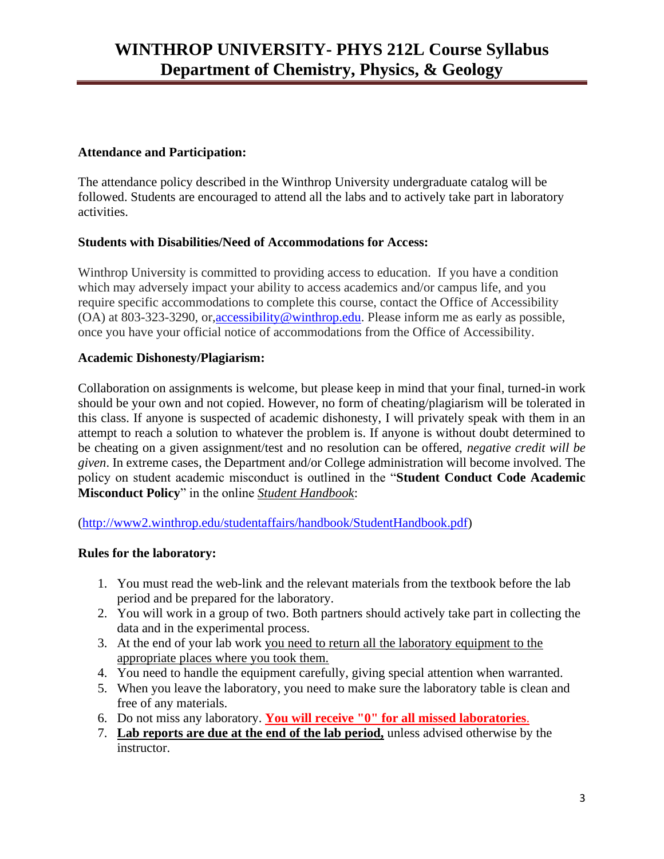#### **Attendance and Participation:**

The attendance policy described in the Winthrop University undergraduate catalog will be followed. Students are encouraged to attend all the labs and to actively take part in laboratory activities.

#### **Students with Disabilities/Need of Accommodations for Access:**

Winthrop University is committed to providing access to education. If you have a condition which may adversely impact your ability to access academics and/or campus life, and you require specific accommodations to complete this course, contact the Office of Accessibility (OA) at 803-323-3290, or[,accessibility@winthrop.edu.](mailto:accessibility@winthrop.edu) Please inform me as early as possible, once you have your official notice of accommodations from the Office of Accessibility.

#### **Academic Dishonesty/Plagiarism:**

Collaboration on assignments is welcome, but please keep in mind that your final, turned-in work should be your own and not copied. However, no form of cheating/plagiarism will be tolerated in this class. If anyone is suspected of academic dishonesty, I will privately speak with them in an attempt to reach a solution to whatever the problem is. If anyone is without doubt determined to be cheating on a given assignment/test and no resolution can be offered, *negative credit will be given*. In extreme cases, the Department and/or College administration will become involved. The policy on student academic misconduct is outlined in the "**Student Conduct Code Academic Misconduct Policy**" in the online *Student Handbook*:

(http://www2.winthrop.edu/studentaffairs/handbook/StudentHandbook.pdf)

#### **Rules for the laboratory:**

- 1. You must read the web-link and the relevant materials from the textbook before the lab period and be prepared for the laboratory.
- 2. You will work in a group of two. Both partners should actively take part in collecting the data and in the experimental process.
- 3. At the end of your lab work you need to return all the laboratory equipment to the appropriate places where you took them.
- 4. You need to handle the equipment carefully, giving special attention when warranted.
- 5. When you leave the laboratory, you need to make sure the laboratory table is clean and free of any materials.
- 6. Do not miss any laboratory. **You will receive "0" for all missed laboratories**.
- 7. **Lab reports are due at the end of the lab period,** unless advised otherwise by the instructor.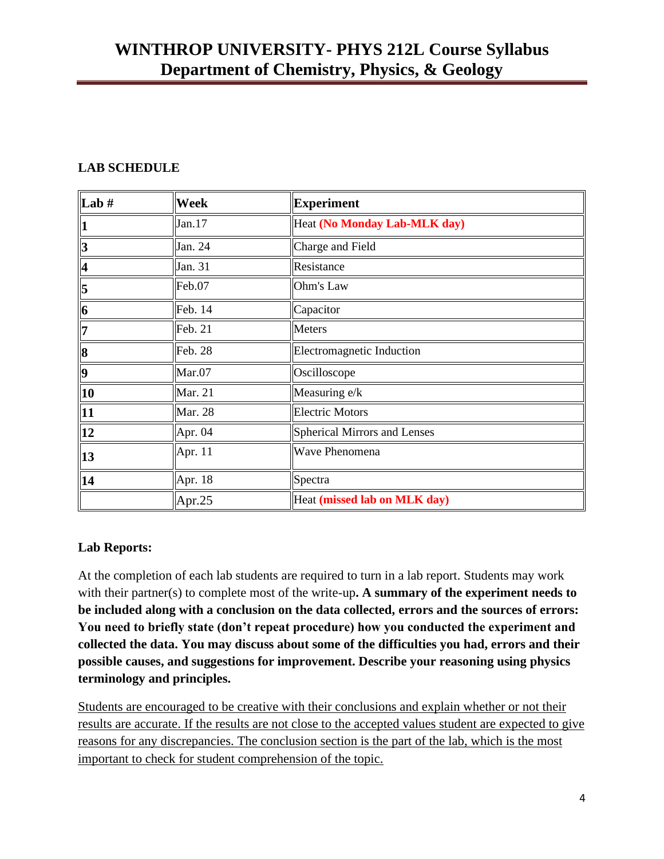## **LAB SCHEDULE**

| $\boxed{\mathbf{Lab} \ \sharp}$ | Week           | <b>Experiment</b>                   |
|---------------------------------|----------------|-------------------------------------|
| $\ 1$                           | Jan.17         | Heat (No Monday Lab-MLK day)        |
|                                 | Jan. 24        | Charge and Field                    |
| $\frac{3}{4}$                   | Jan. 31        | Resistance                          |
| $\overline{5}$                  | Feb.07         | Ohm's Law                           |
| $\overline{\mathbf{6}}$         | Feb. 14        | Capacitor                           |
| $\overline{7}$                  | Feb. 21        | <b>Meters</b>                       |
| $\overline{\mathbf{8}}$         | Feb. 28        | <b>Electromagnetic Induction</b>    |
| $\overline{9}$                  | Mar.07         | Oscilloscope                        |
| $\boxed{10}$                    | Mar. 21        | Measuring e/k                       |
| $\overline{11}$                 | <b>Mar. 28</b> | <b>Electric Motors</b>              |
| $\overline{12}$                 | Apr. 04        | <b>Spherical Mirrors and Lenses</b> |
| $\frac{1}{13}$                  | Apr. 11        | Wave Phenomena                      |
| $\overline{14}$                 | Apr. 18        | Spectra                             |
|                                 | Apr.25         | Heat (missed lab on MLK day)        |

#### **Lab Reports:**

At the completion of each lab students are required to turn in a lab report. Students may work with their partner(s) to complete most of the write-up**. A summary of the experiment needs to be included along with a conclusion on the data collected, errors and the sources of errors: You need to briefly state (don't repeat procedure) how you conducted the experiment and collected the data. You may discuss about some of the difficulties you had, errors and their possible causes, and suggestions for improvement. Describe your reasoning using physics terminology and principles.** 

Students are encouraged to be creative with their conclusions and explain whether or not their results are accurate. If the results are not close to the accepted values student are expected to give reasons for any discrepancies. The conclusion section is the part of the lab, which is the most important to check for student comprehension of the topic.